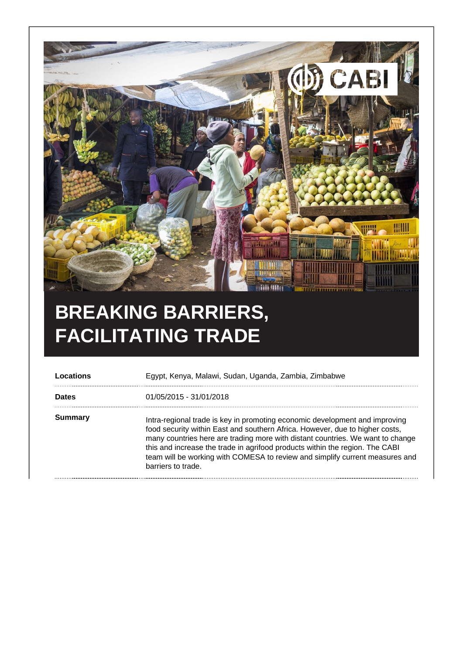

## **BREAKING BARRIERS, FACILITATING TRADE**

| Locations    | Egypt, Kenya, Malawi, Sudan, Uganda, Zambia, Zimbabwe                                                                                                                                                                                                                                                                                                                                                                               |
|--------------|-------------------------------------------------------------------------------------------------------------------------------------------------------------------------------------------------------------------------------------------------------------------------------------------------------------------------------------------------------------------------------------------------------------------------------------|
| <b>Dates</b> | 01/05/2015 - 31/01/2018                                                                                                                                                                                                                                                                                                                                                                                                             |
| Summary      | Intra-regional trade is key in promoting economic development and improving<br>food security within East and southern Africa. However, due to higher costs,<br>many countries here are trading more with distant countries. We want to change<br>this and increase the trade in agrifood products within the region. The CABI<br>team will be working with COMESA to review and simplify current measures and<br>barriers to trade. |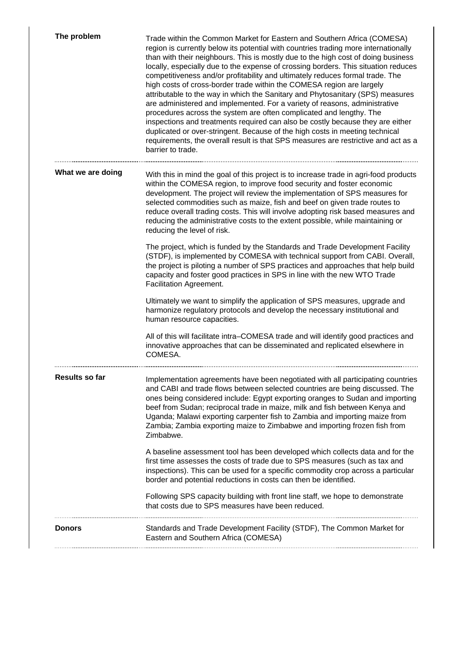| The problem       | Trade within the Common Market for Eastern and Southern Africa (COMESA)<br>region is currently below its potential with countries trading more internationally<br>than with their neighbours. This is mostly due to the high cost of doing business<br>locally, especially due to the expense of crossing borders. This situation reduces<br>competitiveness and/or profitability and ultimately reduces formal trade. The<br>high costs of cross-border trade within the COMESA region are largely<br>attributable to the way in which the Sanitary and Phytosanitary (SPS) measures<br>are administered and implemented. For a variety of reasons, administrative<br>procedures across the system are often complicated and lengthy. The<br>inspections and treatments required can also be costly because they are either<br>duplicated or over-stringent. Because of the high costs in meeting technical<br>requirements, the overall result is that SPS measures are restrictive and act as a<br>barrier to trade. |
|-------------------|-------------------------------------------------------------------------------------------------------------------------------------------------------------------------------------------------------------------------------------------------------------------------------------------------------------------------------------------------------------------------------------------------------------------------------------------------------------------------------------------------------------------------------------------------------------------------------------------------------------------------------------------------------------------------------------------------------------------------------------------------------------------------------------------------------------------------------------------------------------------------------------------------------------------------------------------------------------------------------------------------------------------------|
| What we are doing | With this in mind the goal of this project is to increase trade in agri-food products<br>within the COMESA region, to improve food security and foster economic<br>development. The project will review the implementation of SPS measures for<br>selected commodities such as maize, fish and beef on given trade routes to<br>reduce overall trading costs. This will involve adopting risk based measures and<br>reducing the administrative costs to the extent possible, while maintaining or<br>reducing the level of risk.                                                                                                                                                                                                                                                                                                                                                                                                                                                                                       |
|                   | The project, which is funded by the Standards and Trade Development Facility<br>(STDF), is implemented by COMESA with technical support from CABI. Overall,<br>the project is piloting a number of SPS practices and approaches that help build<br>capacity and foster good practices in SPS in line with the new WTO Trade<br>Facilitation Agreement.                                                                                                                                                                                                                                                                                                                                                                                                                                                                                                                                                                                                                                                                  |
|                   | Ultimately we want to simplify the application of SPS measures, upgrade and<br>harmonize regulatory protocols and develop the necessary institutional and<br>human resource capacities.                                                                                                                                                                                                                                                                                                                                                                                                                                                                                                                                                                                                                                                                                                                                                                                                                                 |
|                   | All of this will facilitate intra-COMESA trade and will identify good practices and<br>innovative approaches that can be disseminated and replicated elsewhere in<br>COMESA.                                                                                                                                                                                                                                                                                                                                                                                                                                                                                                                                                                                                                                                                                                                                                                                                                                            |
| Results so far    | Implementation agreements have been negotiated with all participating countries<br>and CABI and trade flows between selected countries are being discussed. The<br>ones being considered include: Egypt exporting oranges to Sudan and importing<br>beef from Sudan; reciprocal trade in maize, milk and fish between Kenya and<br>Uganda; Malawi exporting carpenter fish to Zambia and importing maize from<br>Zambia; Zambia exporting maize to Zimbabwe and importing frozen fish from<br>Zimbabwe.                                                                                                                                                                                                                                                                                                                                                                                                                                                                                                                 |
|                   | A baseline assessment tool has been developed which collects data and for the<br>first time assesses the costs of trade due to SPS measures (such as tax and<br>inspections). This can be used for a specific commodity crop across a particular<br>border and potential reductions in costs can then be identified.                                                                                                                                                                                                                                                                                                                                                                                                                                                                                                                                                                                                                                                                                                    |
|                   | Following SPS capacity building with front line staff, we hope to demonstrate<br>that costs due to SPS measures have been reduced.                                                                                                                                                                                                                                                                                                                                                                                                                                                                                                                                                                                                                                                                                                                                                                                                                                                                                      |
| <b>Donors</b>     | Standards and Trade Development Facility (STDF), The Common Market for<br>Eastern and Southern Africa (COMESA)                                                                                                                                                                                                                                                                                                                                                                                                                                                                                                                                                                                                                                                                                                                                                                                                                                                                                                          |